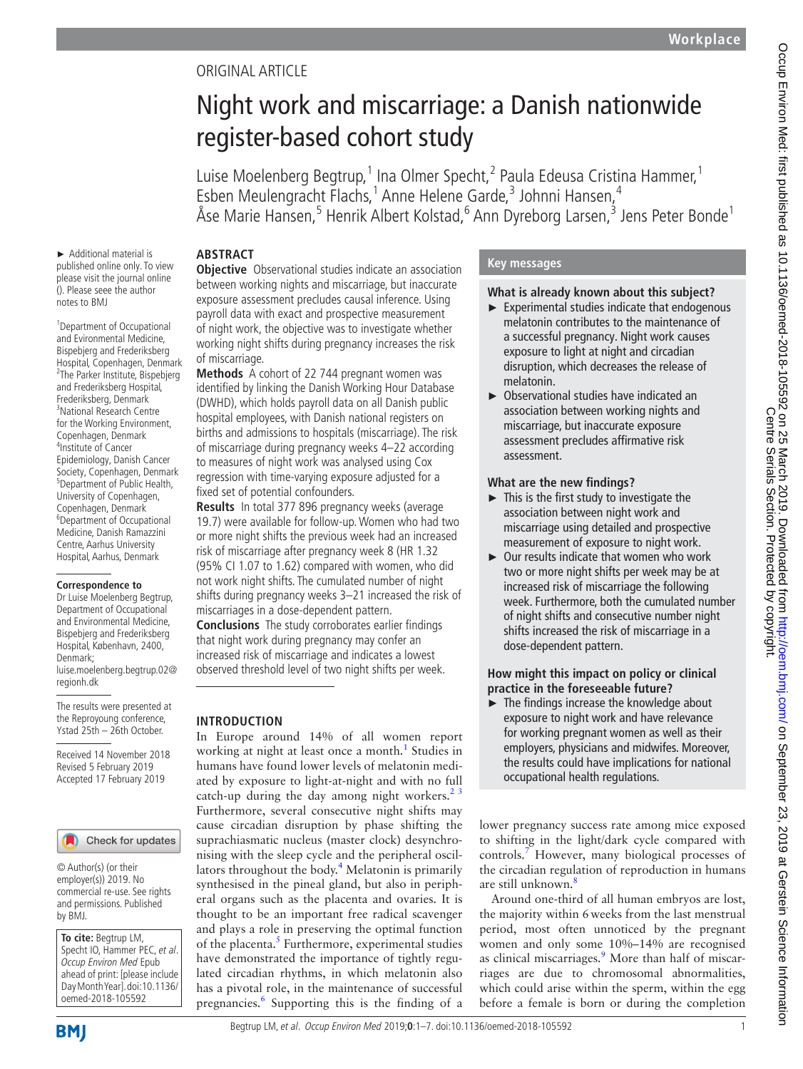# Original article

# Night work and miscarriage: a Danish nationwide register-based cohort study

Luise Moelenberg Begtrup,<sup>1</sup> Ina Olmer Specht,<sup>2</sup> Paula Edeusa Cristina Hammer,<sup>1</sup> Esben Meulengracht Flachs,<sup>1</sup> Anne Helene Garde,<sup>3</sup> Johnni Hansen,<sup>4</sup> Åse Marie Hansen,<sup>5</sup> Henrik Albert Kolstad,<sup>6</sup> Ann Dyreborg Larsen,<sup>3</sup> Jens Peter Bonde<sup>1</sup>

# **Abstract**

► Additional material is published online only. To view please visit the journal online (). Please seee the author notes to BMJ

1 Department of Occupational and Evironmental Medicine, Bispebjerg and Frederiksberg Hospital, Copenhagen, Denmark <sup>2</sup> <sup>2</sup>The Parker Institute, Bispebierg and Frederiksberg Hospital, Frederiksberg, Denmark 3 National Research Centre for the Working Environment, Copenhagen, Denmark 4 Institute of Cancer Epidemiology, Danish Cancer Society, Copenhagen, Denmark <sup>5</sup>Department of Public Health, University of Copenhagen, Copenhagen, Denmark 6 Department of Occupational Medicine, Danish Ramazzini Centre, Aarhus University Hospital, Aarhus, Denmark

#### **Correspondence to**

Dr Luise Moelenberg Begtrup, Department of Occupational and Environmental Medicine, Bispebjerg and Frederiksberg Hospital, København, 2400, Denmark; luise.moelenberg.begtrup.02@ regionh.dk

The results were presented at the Reproyoung conference, Ystad 25th – 26th October.

Received 14 November 2018 Revised 5 February 2019 Accepted 17 February 2019

### Check for updates

© Author(s) (or their employer(s)) 2019. No commercial re-use. See rights and permissions. Published by BMJ.

**To cite:** Begtrup LM, Specht IO, Hammer PEC, et al. Occup Environ Med Epub ahead of print: [please include Day Month Year]. doi:10.1136/ oemed-2018-105592

**Objective** Observational studies indicate an association between working nights and miscarriage, but inaccurate exposure assessment precludes causal inference. Using payroll data with exact and prospective measurement of night work, the objective was to investigate whether working night shifts during pregnancy increases the risk of miscarriage.

**Methods** A cohort of 22 744 pregnant women was identified by linking the Danish Working Hour Database (DWHD), which holds payroll data on all Danish public hospital employees, with Danish national registers on births and admissions to hospitals (miscarriage). The risk of miscarriage during pregnancy weeks 4–22 according to measures of night work was analysed using Cox regression with time-varying exposure adjusted for a fixed set of potential confounders.

**Results** In total 377 896 pregnancy weeks (average 19.7) were available for follow-up. Women who had two or more night shifts the previous week had an increased risk of miscarriage after pregnancy week 8 (HR 1.32 (95% CI 1.07 to 1.62) compared with women, who did not work night shifts. The cumulated number of night shifts during pregnancy weeks 3–21 increased the risk of miscarriages in a dose-dependent pattern.

**Conclusions** The study corroborates earlier findings that night work during pregnancy may confer an increased risk of miscarriage and indicates a lowest observed threshold level of two night shifts per week.

# **Introduction**

In Europe around 14% of all women report working at night at least once a month.<sup>1</sup> Studies in humans have found lower levels of melatonin mediated by exposure to light-at-night and with no full catch-up during the day among night workers. $2^3$ Furthermore, several consecutive night shifts may cause circadian disruption by phase shifting the suprachiasmatic nucleus (master clock) desynchronising with the sleep cycle and the peripheral oscil-lators throughout the body.<sup>[4](#page-5-2)</sup> Melatonin is primarily synthesised in the pineal gland, but also in peripheral organs such as the placenta and ovaries. It is thought to be an important free radical scavenger and plays a role in preserving the optimal function of the placenta.<sup>[5](#page-5-3)</sup> Furthermore, experimental studies have demonstrated the importance of tightly regulated circadian rhythms, in which melatonin also has a pivotal role, in the maintenance of successful pregnancies.<sup>[6](#page-5-4)</sup> Supporting this is the finding of a

# **Key messages**

### **What is already known about this subject?**

- $\blacktriangleright$  Experimental studies indicate that endogenous melatonin contributes to the maintenance of a successful pregnancy. Night work causes exposure to light at night and circadian disruption, which decreases the release of melatonin.
- ► Observational studies have indicated an association between working nights and miscarriage, but inaccurate exposure assessment precludes affirmative risk assessment.

#### **What are the new findings?**

- ► This is the first study to investigate the association between night work and miscarriage using detailed and prospective measurement of exposure to night work.
- ► Our results indicate that women who work two or more night shifts per week may be at increased risk of miscarriage the following week. Furthermore, both the cumulated number of night shifts and consecutive number night shifts increased the risk of miscarriage in a dose-dependent pattern.

#### **How might this impact on policy or clinical practice in the foreseeable future?**

► The findings increase the knowledge about exposure to night work and have relevance for working pregnant women as well as their employers, physicians and midwifes. Moreover, the results could have implications for national occupational health regulations.

lower pregnancy success rate among mice exposed to shifting in the light/dark cycle compared with controls.[7](#page-5-5) However, many biological processes of the circadian regulation of reproduction in humans are still unknown.<sup>8</sup>

Around one-third of all human embryos are lost, the majority within 6weeks from the last menstrual period, most often unnoticed by the pregnant women and only some 10%–14% are recognised as clinical miscarriages.<sup>9</sup> More than half of miscarriages are due to chromosomal abnormalities, which could arise within the sperm, within the egg before a female is born or during the completion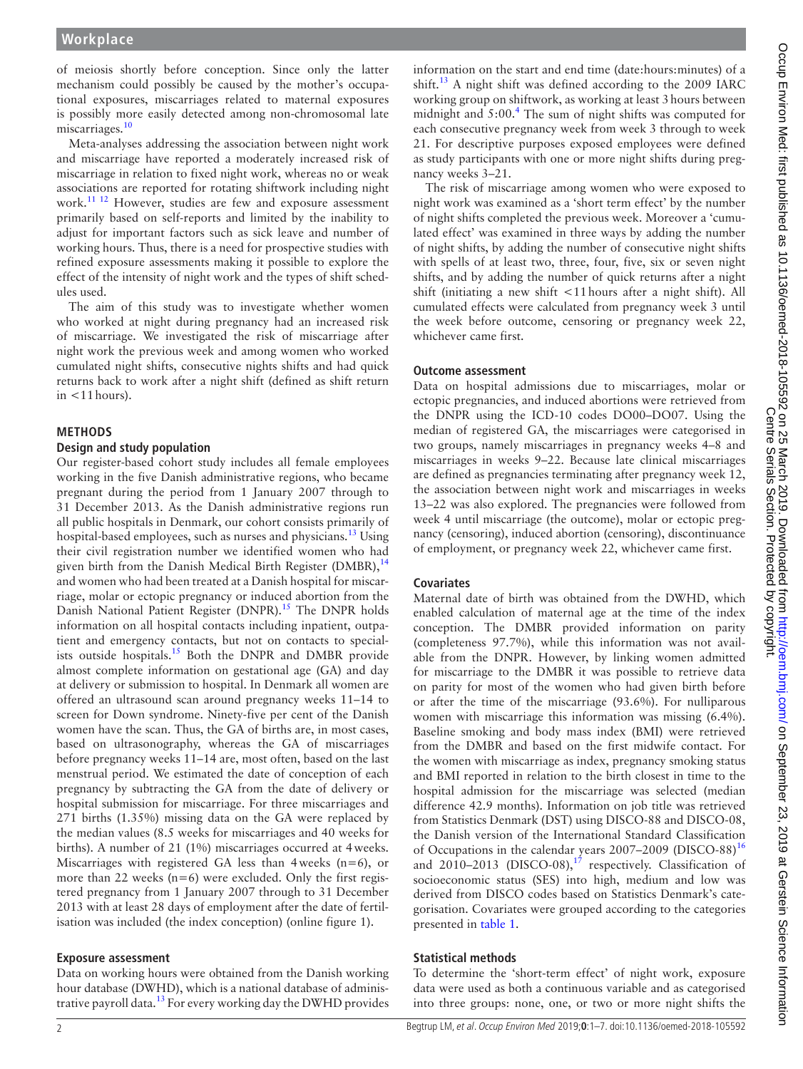of meiosis shortly before conception. Since only the latter mechanism could possibly be caused by the mother's occupational exposures, miscarriages related to maternal exposures is possibly more easily detected among non-chromosomal late miscarriages.<sup>[10](#page-5-8)</sup>

Meta-analyses addressing the association between night work and miscarriage have reported a moderately increased risk of miscarriage in relation to fixed night work, whereas no or weak associations are reported for rotating shiftwork including night work.<sup>[11 12](#page-5-9)</sup> However, studies are few and exposure assessment primarily based on self-reports and limited by the inability to adjust for important factors such as sick leave and number of working hours. Thus, there is a need for prospective studies with refined exposure assessments making it possible to explore the effect of the intensity of night work and the types of shift schedules used.

The aim of this study was to investigate whether women who worked at night during pregnancy had an increased risk of miscarriage. We investigated the risk of miscarriage after night work the previous week and among women who worked cumulated night shifts, consecutive nights shifts and had quick returns back to work after a night shift (defined as shift return in  $<$ 11 hours).

### **Methods**

#### **Design and study population**

Our register-based cohort study includes all female employees working in the five Danish administrative regions, who became pregnant during the period from 1 January 2007 through to 31 December 2013. As the Danish administrative regions run all public hospitals in Denmark, our cohort consists primarily of hospital-based employees, such as nurses and physicians.<sup>13</sup> Using their civil registration number we identified women who had given birth from the Danish Medical Birth Register (DMBR),  $^{14}$  $^{14}$  $^{14}$ and women who had been treated at a Danish hospital for miscarriage, molar or ectopic pregnancy or induced abortion from the Danish National Patient Register (DNPR).<sup>15</sup> The DNPR holds information on all hospital contacts including inpatient, outpatient and emergency contacts, but not on contacts to special-ists outside hospitals.<sup>[15](#page-5-12)</sup> Both the DNPR and DMBR provide almost complete information on gestational age (GA) and day at delivery or submission to hospital. In Denmark all women are offered an ultrasound scan around pregnancy weeks 11–14 to screen for Down syndrome. Ninety-five per cent of the Danish women have the scan. Thus, the GA of births are, in most cases, based on ultrasonography, whereas the GA of miscarriages before pregnancy weeks 11–14 are, most often, based on the last menstrual period. We estimated the date of conception of each pregnancy by subtracting the GA from the date of delivery or hospital submission for miscarriage. For three miscarriages and 271 births (1.35%) missing data on the GA were replaced by the median values (8.5 weeks for miscarriages and 40 weeks for births). A number of 21 (1%) miscarriages occurred at 4weeks. Miscarriages with registered GA less than 4 weeks  $(n=6)$ , or more than 22 weeks (n=6) were excluded. Only the first registered pregnancy from 1 January 2007 through to 31 December 2013 with at least 28 days of employment after the date of fertilisation was included (the index conception) (online [figure 1](https://dx.doi.org/10.1136/oemed-2018-105592)).

### **Exposure assessment**

Data on working hours were obtained from the Danish working hour database (DWHD), which is a national database of administrative payroll data.<sup>13</sup> For every working day the DWHD provides information on the start and end time (date:hours:minutes) of a shift.<sup>13</sup> A night shift was defined according to the 2009 IARC working group on shiftwork, as working at least 3hours between midnight and  $5:00.^4$  $5:00.^4$  The sum of night shifts was computed for each consecutive pregnancy week from week 3 through to week 21. For descriptive purposes exposed employees were defined as study participants with one or more night shifts during pregnancy weeks 3–21.

The risk of miscarriage among women who were exposed to night work was examined as a 'short term effect' by the number of night shifts completed the previous week. Moreover a 'cumulated effect' was examined in three ways by adding the number of night shifts, by adding the number of consecutive night shifts with spells of at least two, three, four, five, six or seven night shifts, and by adding the number of quick returns after a night shift (initiating a new shift <11hours after a night shift). All cumulated effects were calculated from pregnancy week 3 until the week before outcome, censoring or pregnancy week 22, whichever came first.

#### **Outcome assessment**

Data on hospital admissions due to miscarriages, molar or ectopic pregnancies, and induced abortions were retrieved from the DNPR using the ICD-10 codes DO00–DO07. Using the median of registered GA, the miscarriages were categorised in two groups, namely miscarriages in pregnancy weeks 4–8 and miscarriages in weeks 9–22. Because late clinical miscarriages are defined as pregnancies terminating after pregnancy week 12, the association between night work and miscarriages in weeks 13–22 was also explored. The pregnancies were followed from week 4 until miscarriage (the outcome), molar or ectopic pregnancy (censoring), induced abortion (censoring), discontinuance of employment, or pregnancy week 22, whichever came first.

### **Covariates**

Maternal date of birth was obtained from the DWHD, which enabled calculation of maternal age at the time of the index conception. The DMBR provided information on parity (completeness 97.7%), while this information was not available from the DNPR. However, by linking women admitted for miscarriage to the DMBR it was possible to retrieve data on parity for most of the women who had given birth before or after the time of the miscarriage (93.6%). For nulliparous women with miscarriage this information was missing (6.4%). Baseline smoking and body mass index (BMI) were retrieved from the DMBR and based on the first midwife contact. For the women with miscarriage as index, pregnancy smoking status and BMI reported in relation to the birth closest in time to the hospital admission for the miscarriage was selected (median difference 42.9 months). Information on job title was retrieved from Statistics Denmark (DST) using DISCO-88 and DISCO-08, the Danish version of the International Standard Classification of Occupations in the calendar years 2007–2009 (DISCO-88)<sup>[16](#page-5-13)</sup> and  $2010-2013$  (DISCO-08),<sup>[17](#page-5-14)</sup> respectively. Classification of socioeconomic status (SES) into high, medium and low was derived from DISCO codes based on Statistics Denmark's categorisation. Covariates were grouped according to the categories presented in [table](#page-2-0) 1.

### **Statistical methods**

To determine the 'short-term effect' of night work, exposure data were used as both a continuous variable and as categorised into three groups: none, one, or two or more night shifts the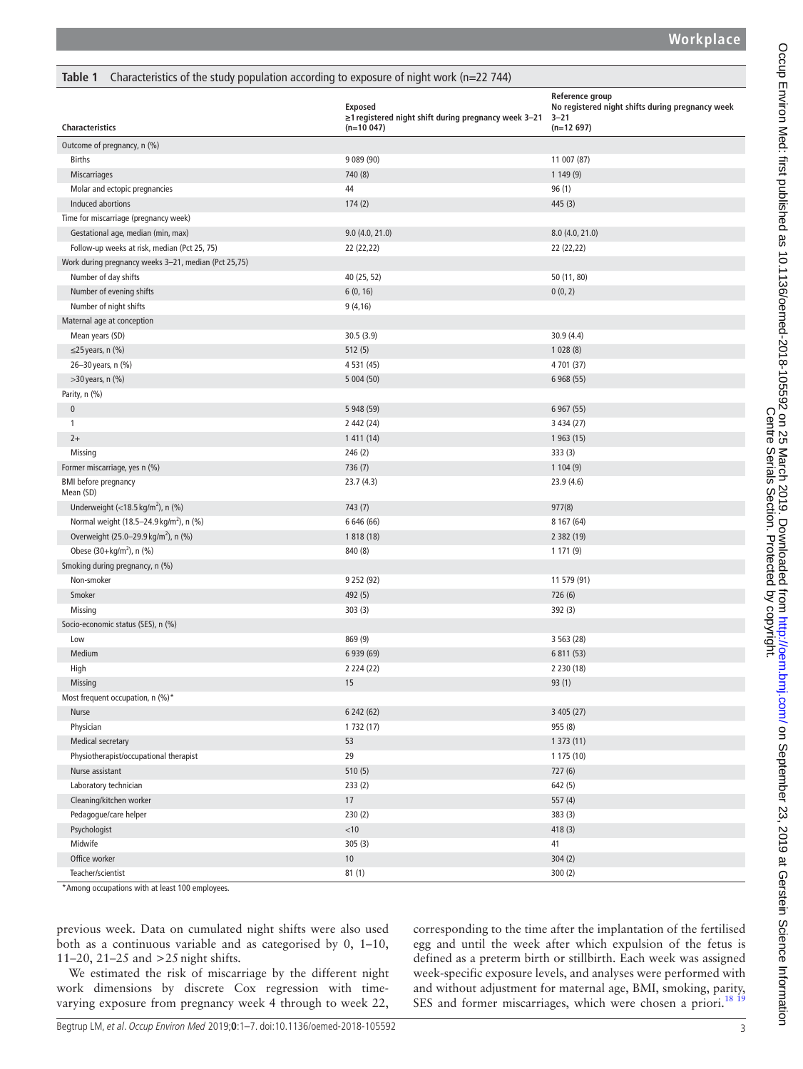<span id="page-2-0"></span>

| Characteristics of the study population according to exposure of night work (n=22 744)<br>Table 1                                                       |                                                                                |                                                                                                |
|---------------------------------------------------------------------------------------------------------------------------------------------------------|--------------------------------------------------------------------------------|------------------------------------------------------------------------------------------------|
| <b>Characteristics</b>                                                                                                                                  | Exposed<br>≥1 registered night shift during pregnancy week 3-21<br>$(n=10047)$ | Reference group<br>No registered night shifts during pregnancy week<br>$3 - 21$<br>$(n=12697)$ |
| Outcome of pregnancy, n (%)                                                                                                                             |                                                                                |                                                                                                |
| <b>Births</b>                                                                                                                                           | 9 089 (90)                                                                     | 11 007 (87)                                                                                    |
| Miscarriages                                                                                                                                            | 740 (8)                                                                        | 1 149 (9)                                                                                      |
| Molar and ectopic pregnancies                                                                                                                           | 44                                                                             | 96(1)                                                                                          |
| Induced abortions                                                                                                                                       | 174(2)                                                                         | 445 (3)                                                                                        |
| Time for miscarriage (pregnancy week)                                                                                                                   |                                                                                |                                                                                                |
| Gestational age, median (min, max)                                                                                                                      | 9.0(4.0, 21.0)                                                                 | 8.0 (4.0, 21.0)                                                                                |
| Follow-up weeks at risk, median (Pct 25, 75)                                                                                                            | 22 (22,22)                                                                     | 22 (22,22)                                                                                     |
| Work during pregnancy weeks 3-21, median (Pct 25,75)                                                                                                    |                                                                                |                                                                                                |
| Number of day shifts                                                                                                                                    | 40 (25, 52)                                                                    | 50 (11, 80)                                                                                    |
| Number of evening shifts                                                                                                                                | 6(0, 16)                                                                       | 0(0, 2)                                                                                        |
| Number of night shifts                                                                                                                                  | 9(4,16)                                                                        |                                                                                                |
| Maternal age at conception                                                                                                                              |                                                                                |                                                                                                |
| Mean years (SD)                                                                                                                                         | 30.5(3.9)                                                                      | 30.9 (4.4)                                                                                     |
| $\leq$ 25 years, n (%)                                                                                                                                  | 512(5)                                                                         | 1028(8)                                                                                        |
| 26-30 years, n (%)                                                                                                                                      | 4 5 31 (45)                                                                    | 4 701 (37)                                                                                     |
| >30 years, n (%)                                                                                                                                        | 5 004 (50)                                                                     | 6 968 (55)                                                                                     |
|                                                                                                                                                         |                                                                                |                                                                                                |
| Parity, n (%)<br>$\mathbf 0$                                                                                                                            | 5 948 (59)                                                                     | 6 967 (55)                                                                                     |
| $\mathbf{1}$                                                                                                                                            | 2 442 (24)                                                                     | 3 434 (27)                                                                                     |
| $2+$                                                                                                                                                    |                                                                                |                                                                                                |
|                                                                                                                                                         | 1 411 (14)                                                                     | 1 963 (15)                                                                                     |
| Missing                                                                                                                                                 | 246(2)                                                                         | 333 (3)                                                                                        |
| Former miscarriage, yes n (%)                                                                                                                           | 736 (7)                                                                        | 1104(9)                                                                                        |
| <b>BMI</b> before pregnancy<br>Mean (SD)                                                                                                                | 23.7(4.3)                                                                      | 23.9 (4.6)                                                                                     |
| Underweight $\left\langle \frac{18.5 \text{ kg/m}^2}{1000 \text{ kg/m}^2} \right\rangle$ , n $\left\langle \frac{6}{1000 \text{ kg/m}^2} \right\rangle$ | 743 (7)                                                                        | 977(8)                                                                                         |
| Normal weight (18.5-24.9 kg/m <sup>2</sup> ), n (%)                                                                                                     | 6 646 (66)                                                                     | 8 167 (64)                                                                                     |
| Overweight (25.0-29.9 kg/m <sup>2</sup> ), n (%)                                                                                                        | 1 818 (18)                                                                     | 2 382 (19)                                                                                     |
| Obese (30+kg/m <sup>2</sup> ), n (%)                                                                                                                    | 840 (8)                                                                        | 1 1 7 1 (9)                                                                                    |
| Smoking during pregnancy, n (%)                                                                                                                         |                                                                                |                                                                                                |
| Non-smoker                                                                                                                                              | 9 2 5 2 (9 2)                                                                  | 11 579 (91)                                                                                    |
| Smoker                                                                                                                                                  | 492 (5)                                                                        | 726 (6)                                                                                        |
| Missing                                                                                                                                                 | 303(3)                                                                         | 392 (3)                                                                                        |
| Socio-economic status (SES), n (%)                                                                                                                      |                                                                                |                                                                                                |
| Low                                                                                                                                                     | 869 (9)                                                                        | 3 5 6 3 (28)                                                                                   |
| Medium                                                                                                                                                  | 6 939 (69)                                                                     | 6 811 (53)                                                                                     |
| High                                                                                                                                                    | 2 2 2 4 (2 2)                                                                  | 2 2 3 0 (18)                                                                                   |
| Missing                                                                                                                                                 | 15                                                                             | 93(1)                                                                                          |
| Most frequent occupation, n (%)*                                                                                                                        |                                                                                |                                                                                                |
| Nurse                                                                                                                                                   | 6 242 (62)                                                                     | 3 405 (27)                                                                                     |
| Physician                                                                                                                                               | 1 732 (17)                                                                     | 955 (8)                                                                                        |
| Medical secretary                                                                                                                                       | 53                                                                             | 1373(11)                                                                                       |
| Physiotherapist/occupational therapist                                                                                                                  | 29                                                                             | 1 175 (10)                                                                                     |
| Nurse assistant                                                                                                                                         | 510(5)                                                                         | 727 (6)                                                                                        |
| Laboratory technician                                                                                                                                   | 233(2)                                                                         | 642(5)                                                                                         |
| Cleaning/kitchen worker                                                                                                                                 | 17                                                                             | 557 (4)                                                                                        |
| Pedagogue/care helper                                                                                                                                   | 230(2)                                                                         | 383(3)                                                                                         |
| Psychologist                                                                                                                                            | < 10                                                                           | 418(3)                                                                                         |
| Midwife                                                                                                                                                 | 305(3)                                                                         | 41                                                                                             |
| Office worker                                                                                                                                           | $10$                                                                           | 304(2)                                                                                         |
| Teacher/scientist                                                                                                                                       | 81(1)                                                                          | 300(2)                                                                                         |

\*Among occupations with at least 100 employees.

previous week. Data on cumulated night shifts were also used both as a continuous variable and as categorised by 0, 1–10, 11–20, 21–25 and >25night shifts.

We estimated the risk of miscarriage by the different night work dimensions by discrete Cox regression with timevarying exposure from pregnancy week 4 through to week 22,

corresponding to the time after the implantation of the fertilised egg and until the week after which expulsion of the fetus is defined as a preterm birth or stillbirth. Each week was assigned week-specific exposure levels, and analyses were performed with and without adjustment for maternal age, BMI, smoking, parity, SES and former miscarriages, which were chosen a priori.<sup>[18 19](#page-5-15)</sup>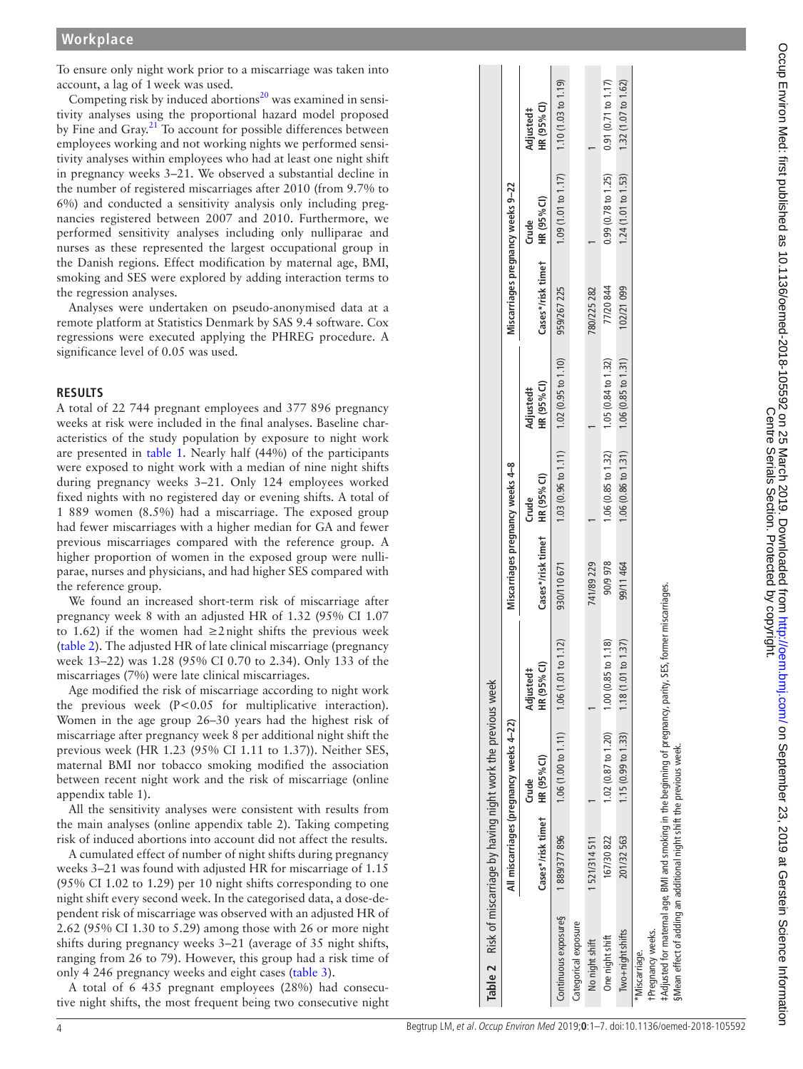To ensure only night work prior to a miscarriage was taken into account, a lag of 1week was used.

Competing risk by induced abortions $^{20}$  $^{20}$  $^{20}$  was examined in sensitivity analyses using the proportional hazard model proposed by Fine and Gray.<sup>[21](#page-5-17)</sup> To account for possible differences between employees working and not working nights we performed sensi tivity analyses within employees who had at least one night shift in pregnancy weeks 3–21. We observed a substantial decline in the number of registered miscarriages after 2010 (from 9.7% to 6%) and conducted a sensitivity analysis only including preg nancies registered between 2007 and 2010. Furthermore, we performed sensitivity analyses including only nulliparae and nurses as these represented the largest occupational group in the Danish regions. Effect modification by maternal age, BMI, smoking and SES were explored by adding interaction terms to the regression analyses.

Analyses were undertaken on pseudo-anonymised data at a remote platform at Statistics Denmark by SAS 9.4 software. Cox regressions were executed applying the PHREG procedure. A significance level of 0.05 was used.

#### **Results**

A total of 22 744 pregnant employees and 377 896 pregnancy weeks at risk were included in the final analyses. Baseline char acteristics of the study population by exposure to night work are presented in [table](#page-2-0) 1. Nearly half (44%) of the participants were exposed to night work with a median of nine night shifts during pregnancy weeks 3–21. Only 124 employees worked fixed nights with no registered day or evening shifts. A total of 1 889 women (8.5%) had a miscarriage. The exposed group had fewer miscarriages with a higher median for GA and fewer previous miscarriages compared with the reference group. A higher proportion of women in the exposed group were nulliparae, nurses and physicians, and had higher SES compared with the reference group.

We found an increased short-term risk of miscarriage after pregnancy week 8 with an adjusted HR of 1.32 (95% CI 1.07 to 1.62) if the women had  $\geq 2$  night shifts the previous week ([table](#page-3-0) 2). The adjusted HR of late clinical miscarriage (pregnancy week 13–22) was 1.28 (95% CI 0.70 to 2.34). Only 133 of the miscarriages (7%) were late clinical miscarriages.

Age modified the risk of miscarriage according to night work the previous week (P<0.05 for multiplicative interaction). Women in the age group 26–30 years had the highest risk of miscarriage after pregnancy week 8 per additional night shift the previous week (HR 1.23 (95% CI 1.11 to 1.37)). Neither SES, maternal BMI nor tobacco smoking modified the association between recent night work and the risk of miscarriage (online [appendix table 1](https://dx.doi.org/10.1136/oemed-2018-105592)).

All the sensitivity analyses were consistent with results from the main analyses (online [appendix table 2](https://dx.doi.org/10.1136/oemed-2018-105592)). Taking competing risk of induced abortions into account did not affect the results.

A cumulated effect of number of night shifts during pregnancy weeks 3–21 was found with adjusted HR for miscarriage of 1.15 (95% CI 1.02 to 1.29) per 10 night shifts corresponding to one night shift every second week. In the categorised data, a dose-de pendent risk of miscarriage was observed with an adjusted HR of 2.62 (95% CI 1.30 to 5.29) among those with 26 or more night shifts during pregnancy weeks 3–21 (average of 35 night shifts, ranging from 26 to 79). However, this group had a risk time of only 4 246 pregnancy weeks and eight cases [\(table](#page-4-0) 3).

<span id="page-3-0"></span>A total of 6 435 pregnant employees (28%) had consecu tive night shifts, the most frequent being two consecutive night

| Table 2 Risk of miscarriage by having night work the previous week                                                                                                                                   |                               |                                         |                          |                                  |                                                             |                               |                                   |                               |                          |
|------------------------------------------------------------------------------------------------------------------------------------------------------------------------------------------------------|-------------------------------|-----------------------------------------|--------------------------|----------------------------------|-------------------------------------------------------------|-------------------------------|-----------------------------------|-------------------------------|--------------------------|
|                                                                                                                                                                                                      |                               | All miscarriages (pregnancy weeks 4–22) |                          | Miscarriages pregnancy weeks 4-8 |                                                             |                               | Miscarriages pregnancy weeks 9-22 |                               |                          |
|                                                                                                                                                                                                      | Cases*/risk timet HR (95% CI) | Crude                                   | HR (95% CI)<br>Adjusted# | Cases*/risk timet HR (95% CI)    | <b>Crude</b>                                                | HR (95% CI)<br>Adjusted#      | Cases*/risk timet HR (95% CI)     | <b>Crude</b>                  | HR (95% CI)<br>Adjusted# |
| Continuous exposures                                                                                                                                                                                 | 1889/377896                   | 1.06(1.00 to 1.11)                      | 1.12<br>1.06(1.01 to     | 930/110671                       | 1.03 (0.96 to 1.11)                                         | $1.02(0.95 \text{ to } 1.10)$ | 959/267 225                       | 1.09 (1.01 to 1.17)           | 1.10(1.03 to 1.19)       |
| Categorical exposure                                                                                                                                                                                 |                               |                                         |                          |                                  |                                                             |                               |                                   |                               |                          |
| No night shift                                                                                                                                                                                       | 1521/314511                   |                                         |                          | 741/89 229                       |                                                             |                               | 780/225 282                       |                               |                          |
| One night shift                                                                                                                                                                                      | 167/30 822                    | 1.02 (0.87 to 1.20)                     | 1.18)<br>1.00 (0.85 to   | 90/9 978                         | 1.06 (0.85 to 1.32)                                         | 1.05 (0.84 to 1.32)           | 77/20 844                         | $0.99(0.78 \text{ to } 1.25)$ | 0.91(0.71 to 1.17)       |
| Two+night shifts                                                                                                                                                                                     | 201/32 563                    | 1.15(0.99 t0 1.33)                      | 1.37<br>1.18 (1.01 to    | 99/11 464                        | $1.06(0.86 \text{ to } 1.31)$ $1.06(0.85 \text{ to } 1.31)$ |                               | 102/21099                         | 1.24 (1.01 to 1.53)           | 1.32(1.07 to 1.62)       |
| #Adjusted for maternal age, BMI and smoking in the beginning of pregnancy, parity, SES,<br>s Mean effect of adding an additional night shift the previous week<br>tPregnancy weeks.<br>*Miscarriage. |                               |                                         | former miscarriages.     |                                  |                                                             |                               |                                   |                               |                          |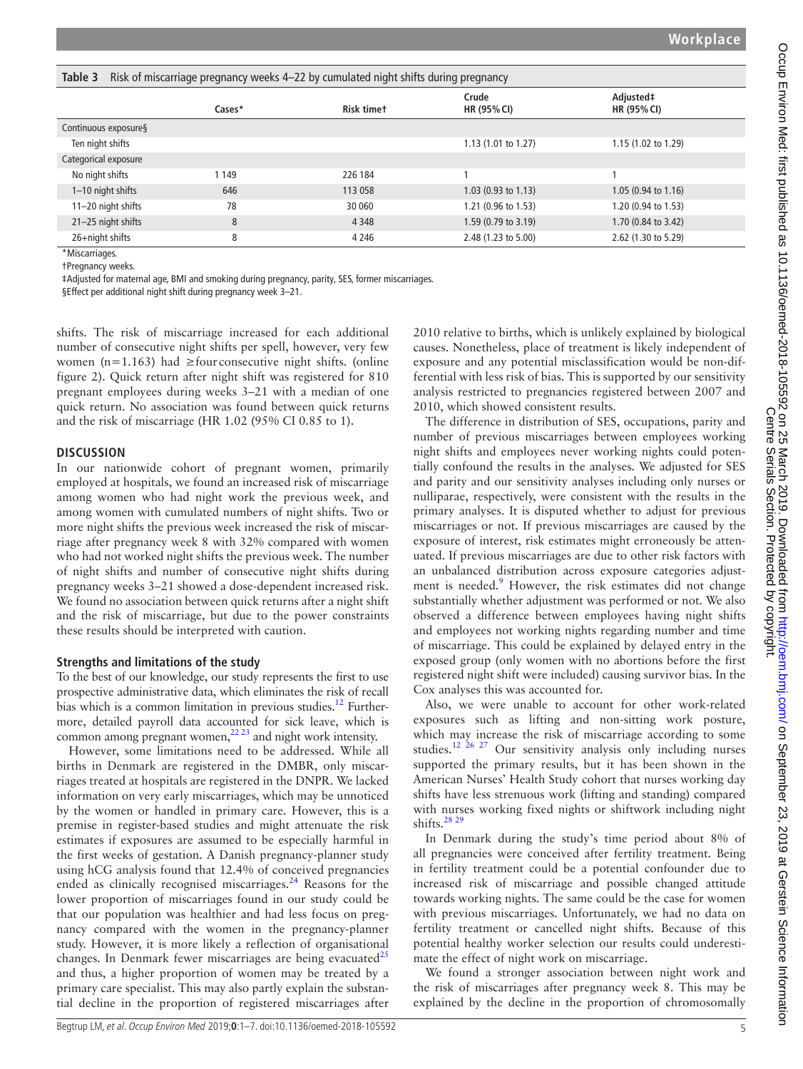<span id="page-4-0"></span>

| Table 3<br>Risk of miscarriage pregnancy weeks 4–22 by cumulated night shifts during pregnancy |         |                   |                      |                               |  |  |
|------------------------------------------------------------------------------------------------|---------|-------------------|----------------------|-------------------------------|--|--|
|                                                                                                | Cases*  | <b>Risk timet</b> | Crude<br>HR (95% CI) | Adjusted‡<br>HR (95% CI)      |  |  |
| Continuous exposure §                                                                          |         |                   |                      |                               |  |  |
| Ten night shifts                                                                               |         |                   | 1.13 (1.01 to 1.27)  | $1.15(1.02 \text{ to } 1.29)$ |  |  |
| Categorical exposure                                                                           |         |                   |                      |                               |  |  |
| No night shifts                                                                                | 1 1 4 9 | 226 184           |                      |                               |  |  |
| 1-10 night shifts                                                                              | 646     | 113 058           | 1.03 (0.93 to 1.13)  | $1.05(0.94 \text{ to } 1.16)$ |  |  |
| 11-20 night shifts                                                                             | 78      | 30 060            | 1.21 (0.96 to 1.53)  | 1.20 (0.94 to 1.53)           |  |  |
| 21-25 night shifts                                                                             | 8       | 4 3 4 8           | 1.59 (0.79 to 3.19)  | 1.70 (0.84 to 3.42)           |  |  |
| 26+night shifts                                                                                | 8       | 4 2 4 6           | 2.48 (1.23 to 5.00)  | 2.62 (1.30 to 5.29)           |  |  |

\*Miscarriages.

†Pregnancy weeks.

‡Adjusted for maternal age, BMI and smoking during pregnancy, parity, SES, former miscarriages.

§Effect per additional night shift during pregnancy week 3–21.

shifts. The risk of miscarriage increased for each additional number of consecutive night shifts per spell, however, very few women (n=1.163) had  $\geq$  four consecutive night shifts. (online [figure 2\)](https://dx.doi.org/10.1136/oemed-2018-105592). Quick return after night shift was registered for 810 pregnant employees during weeks 3–21 with a median of one quick return. No association was found between quick returns and the risk of miscarriage (HR 1.02 (95% CI 0.85 to 1).

### **Discussion**

In our nationwide cohort of pregnant women, primarily employed at hospitals, we found an increased risk of miscarriage among women who had night work the previous week, and among women with cumulated numbers of night shifts. Two or more night shifts the previous week increased the risk of miscarriage after pregnancy week 8 with 32% compared with women who had not worked night shifts the previous week. The number of night shifts and number of consecutive night shifts during pregnancy weeks 3–21 showed a dose-dependent increased risk. We found no association between quick returns after a night shift and the risk of miscarriage, but due to the power constraints these results should be interpreted with caution.

### **Strengths and limitations of the study**

To the best of our knowledge, our study represents the first to use prospective administrative data, which eliminates the risk of recall bias which is a common limitation in previous studies.<sup>12</sup> Furthermore, detailed payroll data accounted for sick leave, which is common among pregnant women, $^{22\ 23}$  and night work intensity.

However, some limitations need to be addressed. While all births in Denmark are registered in the DMBR, only miscarriages treated at hospitals are registered in the DNPR. We lacked information on very early miscarriages, which may be unnoticed by the women or handled in primary care. However, this is a premise in register-based studies and might attenuate the risk estimates if exposures are assumed to be especially harmful in the first weeks of gestation. A Danish pregnancy-planner study using hCG analysis found that 12.4% of conceived pregnancies ended as clinically recognised miscarriages.<sup>[24](#page-5-20)</sup> Reasons for the lower proportion of miscarriages found in our study could be that our population was healthier and had less focus on pregnancy compared with the women in the pregnancy-planner study. However, it is more likely a reflection of organisational changes. In Denmark fewer miscarriages are being evacuated $^{25}$  $^{25}$  $^{25}$ and thus, a higher proportion of women may be treated by a primary care specialist. This may also partly explain the substantial decline in the proportion of registered miscarriages after

2010 relative to births, which is unlikely explained by biological causes. Nonetheless, place of treatment is likely independent of exposure and any potential misclassification would be non-differential with less risk of bias. This is supported by our sensitivity analysis restricted to pregnancies registered between 2007 and 2010, which showed consistent results.

The difference in distribution of SES, occupations, parity and number of previous miscarriages between employees working night shifts and employees never working nights could potentially confound the results in the analyses. We adjusted for SES and parity and our sensitivity analyses including only nurses or nulliparae, respectively, were consistent with the results in the primary analyses. It is disputed whether to adjust for previous miscarriages or not. If previous miscarriages are caused by the exposure of interest, risk estimates might erroneously be attenuated. If previous miscarriages are due to other risk factors with an unbalanced distribution across exposure categories adjustment is needed.<sup>9</sup> However, the risk estimates did not change substantially whether adjustment was performed or not. We also observed a difference between employees having night shifts and employees not working nights regarding number and time of miscarriage. This could be explained by delayed entry in the exposed group (only women with no abortions before the first registered night shift were included) causing survivor bias. In the Cox analyses this was accounted for.

Also, we were unable to account for other work-related exposures such as lifting and non-sitting work posture, which may increase the risk of miscarriage according to some studies.<sup>[12 26 27](#page-5-18)</sup> Our sensitivity analysis only including nurses supported the primary results, but it has been shown in the American Nurses' Health Study cohort that nurses working day shifts have less strenuous work (lifting and standing) compared with nurses working fixed nights or shiftwork including night shifts. $2829$ 

In Denmark during the study's time period about 8% of all pregnancies were conceived after fertility treatment. Being in fertility treatment could be a potential confounder due to increased risk of miscarriage and possible changed attitude towards working nights. The same could be the case for women with previous miscarriages. Unfortunately, we had no data on fertility treatment or cancelled night shifts. Because of this potential healthy worker selection our results could underestimate the effect of night work on miscarriage.

We found a stronger association between night work and the risk of miscarriages after pregnancy week 8. This may be explained by the decline in the proportion of chromosomally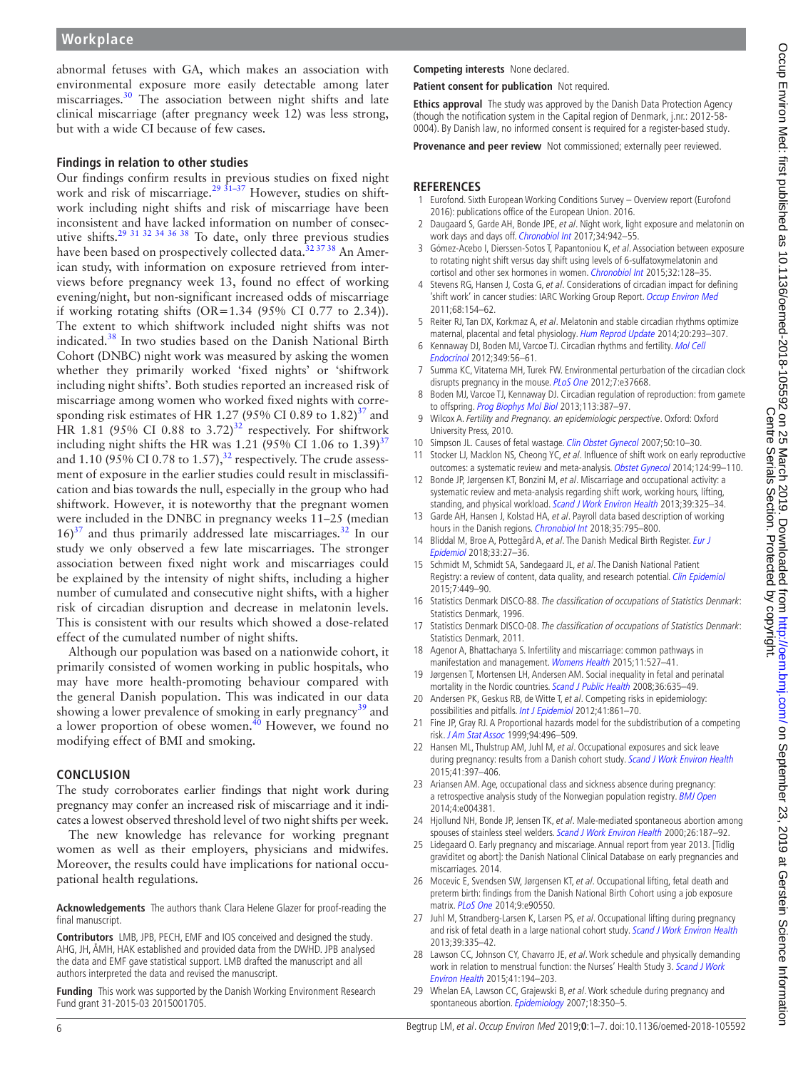abnormal fetuses with GA, which makes an association with environmental exposure more easily detectable among later miscarriages.[30](#page-6-0) The association between night shifts and late clinical miscarriage (after pregnancy week 12) was less strong, but with a wide CI because of few cases.

#### **Findings in relation to other studies**

Our findings confirm results in previous studies on fixed night work and risk of miscarriage.<sup>29 31-37</sup> However, studies on shiftwork including night shifts and risk of miscarriage have been inconsistent and have lacked information on number of consecutive shifts.[29 31 32 34 36 38](#page-5-23) To date, only three previous studies have been based on prospectively collected data.<sup>[32 37 38](#page-6-1)</sup> An American study, with information on exposure retrieved from interviews before pregnancy week 13, found no effect of working evening/night, but non-significant increased odds of miscarriage if working rotating shifts (OR=1.34 (95% CI 0.77 to 2.34)). The extent to which shiftwork included night shifts was not indicated.[38](#page-6-2) In two studies based on the Danish National Birth Cohort (DNBC) night work was measured by asking the women whether they primarily worked 'fixed nights' or 'shiftwork including night shifts'. Both studies reported an increased risk of miscarriage among women who worked fixed nights with corre-sponding risk estimates of HR 1.27 (95% CI 0.89 to 1.82)<sup>[37](#page-6-3)</sup> and HR 1.81 (95% CI 0.88 to  $3.72$ )<sup>[32](#page-6-1)</sup> respectively. For shiftwork including night shifts the HR was 1.21 (95% CI 1.06 to  $1.39$ )<sup>[37](#page-6-3)</sup> and 1.10 (95% CI 0.78 to 1.57), $^{32}$  respectively. The crude assessment of exposure in the earlier studies could result in misclassification and bias towards the null, especially in the group who had shiftwork. However, it is noteworthy that the pregnant women were included in the DNBC in pregnancy weeks 11–25 (median  $16$ <sup>37</sup> and thus primarily addressed late miscarriages.<sup>[32](#page-6-1)</sup> In our study we only observed a few late miscarriages. The stronger association between fixed night work and miscarriages could be explained by the intensity of night shifts, including a higher number of cumulated and consecutive night shifts, with a higher risk of circadian disruption and decrease in melatonin levels. This is consistent with our results which showed a dose-related effect of the cumulated number of night shifts.

Although our population was based on a nationwide cohort, it primarily consisted of women working in public hospitals, who may have more health-promoting behaviour compared with the general Danish population. This was indicated in our data showing a lower prevalence of smoking in early pregnancy<sup>[39](#page-6-4)</sup> and a lower proportion of obese women. $40$  However, we found no modifying effect of BMI and smoking.

### **Conclusion**

The study corroborates earlier findings that night work during pregnancy may confer an increased risk of miscarriage and it indicates a lowest observed threshold level of two night shifts per week.

The new knowledge has relevance for working pregnant women as well as their employers, physicians and midwifes. Moreover, the results could have implications for national occupational health regulations.

**Acknowledgements** The authors thank Clara Helene Glazer for proof-reading the final manuscript.

**Contributors** LMB, JPB, PECH, EMF and IOS conceived and designed the study. AHG, JH, ÅMH, HAK established and provided data from the DWHD. JPB analysed the data and EMF gave statistical support. LMB drafted the manuscript and all authors interpreted the data and revised the manuscript.

**Funding** This work was supported by the Danish Working Environment Research Fund grant 31-2015-03 2015001705.

# **Competing interests** None declared.

**Patient consent for publication** Not required.

**Ethics approval** The study was approved by the Danish Data Protection Agency (though the notification system in the Capital region of Denmark, j.nr.: 2012-58- 0004). By Danish law, no informed consent is required for a register-based study.

**Provenance and peer review** Not commissioned; externally peer reviewed.

# **References**

- <span id="page-5-0"></span>1 Eurofond. Sixth European Working Conditions Survey – Overview report (Eurofond 2016): publications office of the European Union. 2016.
- <span id="page-5-1"></span>2 Daugaard S, Garde AH, Bonde JPE, et al. Night work, light exposure and melatonin on work days and days off. [Chronobiol Int](http://dx.doi.org/10.1080/07420528.2017.1327867) 2017;34:942-55.
- 3 Gómez-Acebo I, Dierssen-Sotos T, Papantoniou K, et al. Association between exposure to rotating night shift versus day shift using levels of 6-sulfatoxymelatonin and cortisol and other sex hormones in women. [Chronobiol Int](http://dx.doi.org/10.3109/07420528.2014.958494) 2015;32:128-35.
- <span id="page-5-2"></span>4 Stevens RG, Hansen J, Costa G, et al. Considerations of circadian impact for defining 'shift work' in cancer studies: IARC Working Group Report. [Occup Environ Med](http://dx.doi.org/10.1136/oem.2009.053512) 2011;68:154–62.
- <span id="page-5-3"></span>5 Reiter RJ, Tan DX, Korkmaz A, et al. Melatonin and stable circadian rhythms optimize maternal, placental and fetal physiology. [Hum Reprod Update](http://dx.doi.org/10.1093/humupd/dmt054) 2014;20:293-307.
- <span id="page-5-4"></span>6 Kennaway DJ, Boden MJ, Varcoe TJ. Circadian rhythms and fertility. [Mol Cell](http://dx.doi.org/10.1016/j.mce.2011.08.013)  [Endocrinol](http://dx.doi.org/10.1016/j.mce.2011.08.013) 2012;349:56–61.
- <span id="page-5-5"></span>7 Summa KC, Vitaterna MH, Turek FW. Environmental perturbation of the circadian clock disrupts pregnancy in the mouse. [PLoS One](http://dx.doi.org/10.1371/journal.pone.0037668) 2012;7:e37668.
- <span id="page-5-6"></span>8 Boden MJ, Varcoe TJ, Kennaway DJ. Circadian regulation of reproduction: from gamete to offspring. [Prog Biophys Mol Biol](http://dx.doi.org/10.1016/j.pbiomolbio.2013.01.003) 2013;113:387-97.
- <span id="page-5-7"></span>9 Wilcox A. Fertility and Pregnancy. an epidemiologic perspective. Oxford: Oxford University Press, 2010.
- <span id="page-5-8"></span>10 Simpson JL. Causes of fetal wastage. [Clin Obstet Gynecol](http://dx.doi.org/10.1097/GRF.0b013e31802f11f6) 2007;50:10-30.
- <span id="page-5-9"></span>11 Stocker LJ, Macklon NS, Cheong YC, et al. Influence of shift work on early reproductive outcomes: a systematic review and meta-analysis. [Obstet Gynecol](http://dx.doi.org/10.1097/AOG.0000000000000321) 2014;124:99-110.
- <span id="page-5-18"></span>12 Bonde JP, Jørgensen KT, Bonzini M, et al. Miscarriage and occupational activity: a systematic review and meta-analysis regarding shift work, working hours, lifting, standing, and physical workload. [Scand J Work Environ Health](http://dx.doi.org/10.5271/sjweh.3337) 2013;39:325-34.
- <span id="page-5-10"></span>13 Garde AH, Hansen J, Kolstad HA, et al. Payroll data based description of working hours in the Danish regions. [Chronobiol Int](http://dx.doi.org/10.1080/07420528.2018.1466797) 2018;35:795–800.
- <span id="page-5-11"></span>14 Bliddal M, Broe A, Pottegård A, et al. The Danish Medical Birth Register. Eur J [Epidemiol](http://dx.doi.org/10.1007/s10654-018-0356-1) 2018;33:27–36.
- <span id="page-5-12"></span>15 Schmidt M, Schmidt SA, Sandegaard JL, et al. The Danish National Patient Registry: a review of content, data quality, and research potential. [Clin Epidemiol](http://dx.doi.org/10.2147/CLEP.S91125) 2015;7:449–90.
- <span id="page-5-13"></span>16 Statistics Denmark DISCO-88. The classification of occupations of Statistics Denmark: Statistics Denmark, 1996.
- <span id="page-5-14"></span>17 Statistics Denmark DISCO-08. The classification of occupations of Statistics Denmark: Statistics Denmark, 2011.
- <span id="page-5-15"></span>18 Agenor A, Bhattacharya S. Infertility and miscarriage: common pathways in manifestation and management. [Womens Health](http://dx.doi.org/10.2217/WHE.15.19) 2015;11:527–41.
- 19 Jørgensen T, Mortensen LH, Andersen AM. Social inequality in fetal and perinatal mortality in the Nordic countries. [Scand J Public Health](http://dx.doi.org/10.1177/1403494808089653) 2008;36:635-49.
- <span id="page-5-16"></span>20 Andersen PK, Geskus RB, de Witte T, et al. Competing risks in epidemiology: possibilities and pitfalls. [Int J Epidemiol](http://dx.doi.org/10.1093/ije/dyr213) 2012;41:861-70.
- <span id="page-5-17"></span>21 Fine JP, Gray RJ. A Proportional hazards model for the subdistribution of a competing risk. [J Am Stat Assoc](http://dx.doi.org/10.1080/01621459.1999.10474144) 1999;94:496–509.
- <span id="page-5-19"></span>22 Hansen ML, Thulstrup AM, Juhl M, et al. Occupational exposures and sick leave during pregnancy: results from a Danish cohort study. [Scand J Work Environ Health](http://dx.doi.org/10.5271/sjweh.3507) 2015;41:397–406.
- 23 Ariansen AM. Age, occupational class and sickness absence during pregnancy: a retrospective analysis study of the Norwegian population registry. [BMJ Open](http://dx.doi.org/10.1136/bmjopen-2013-004381) 2014;4:e004381.
- <span id="page-5-20"></span>24 Hjollund NH, Bonde JP, Jensen TK, et al. Male-mediated spontaneous abortion among spouses of stainless steel welders. [Scand J Work Environ Health](http://dx.doi.org/10.5271/sjweh.530) 2000;26:187–92.
- <span id="page-5-21"></span>25 Lidegaard O. Early pregnancy and miscariage. Annual report from year 2013. [Tidlig graviditet og abort]: the Danish National Clinical Database on early pregnancies and miscarriages. 2014.
- 26 Mocevic E, Svendsen SW, Jørgensen KT, et al. Occupational lifting, fetal death and preterm birth: findings from the Danish National Birth Cohort using a job exposure matrix. [PLoS One](http://dx.doi.org/10.1371/journal.pone.0090550) 2014;9:e90550.
- 27 Juhl M, Strandberg-Larsen K, Larsen PS, et al. Occupational lifting during pregnancy and risk of fetal death in a large national cohort study. [Scand J Work Environ Health](http://dx.doi.org/10.5271/sjweh.3335) 2013;39:335–42.
- <span id="page-5-22"></span>28 Lawson CC, Johnson CY, Chavarro JE, et al. Work schedule and physically demanding work in relation to menstrual function: the Nurses' Health Study 3. Scand J Work [Environ Health](http://dx.doi.org/10.5271/sjweh.3482) 2015;41:194–203.
- <span id="page-5-23"></span>29 Whelan EA, Lawson CC, Grajewski B, et al. Work schedule during pregnancy and spontaneous abortion. [Epidemiology](http://dx.doi.org/10.1097/01.ede.0000259988.77314.a4) 2007;18:350-5.